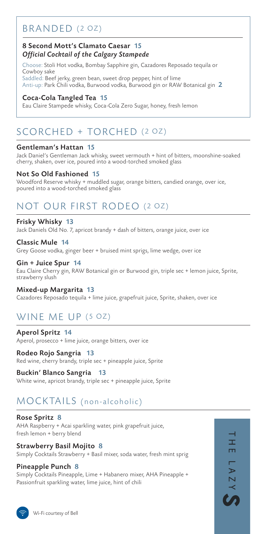### BRANDED (2 OZ)

### 8 Second Mott's Clamato Caesar 15 *Official Cocktail of the Calgary Stampede*

Choose: Stoli Hot vodka, Bombay Sapphire gin, Cazadores Reposado tequila or Cowboy sake Saddled: Beef jerky, green bean, sweet drop pepper, hint of lime

Anti-up: Park Chili vodka, Burwood vodka, Burwood gin or RAW Botanical gin 2

### Coca-Cola Tangled Tea 15

Eau Claire Stampede whisky, Coca-Cola Zero Sugar, honey, fresh lemon

# SCORCHED + TORCHED (2 OZ)

#### Gentleman's Hattan 15

Jack Daniel's Gentleman Jack whisky, sweet vermouth + hint of bitters, moonshine-soaked cherry, shaken, over ice, poured into a wood-torched smoked glass

### Not So Old Fashioned 15

Woodford Reserve whisky + muddled sugar, orange bitters, candied orange, over ice, poured into a wood-torched smoked glass

# NOT OUR FIRST RODEO (2 OZ)

#### Frisky Whisky 13

Jack Daniels Old No. 7, apricot brandy + dash of bitters, orange juice, over ice

Classic Mule 14 Grey Goose vodka, ginger beer + bruised mint sprigs, lime wedge, over ice

#### Gin + Juice Spur 14 Eau Claire Cherry gin, RAW Botanical gin or Burwood gin, triple sec + lemon juice, Sprite, strawberry slush

### Mixed-up Margarita 13

Cazadores Reposado tequila + lime juice, grapefruit juice, Sprite, shaken, over ice

## WINE ME UP (5 OZ)

Aperol Spritz 14 Aperol, prosecco + lime juice, orange bitters, over ice

Rodeo Rojo Sangria 13 Red wine, cherry brandy, triple sec + pineapple juice, Sprite

Buckin' Blanco Sangria 13 White wine, apricot brandy, triple sec + pineapple juice, Sprite

# MOCKTAILS (non-alcoholic)

Rose Spritz 8 AHA Raspberry + Acai sparkling water, pink grapefruit juice, fresh lemon + berry blend

Strawberry Basil Mojito 8 Simply Cocktails Strawberry + Basil mixer, soda water, fresh mint sprig

#### Pineapple Punch 8

Simply Cocktails Pineapple, Lime + Habanero mixer, AHA Pineapple + Passionfruit sparkling water, lime juice, hint of chili

工 ш  $\blacktriangleright$  $S \wedge Z$